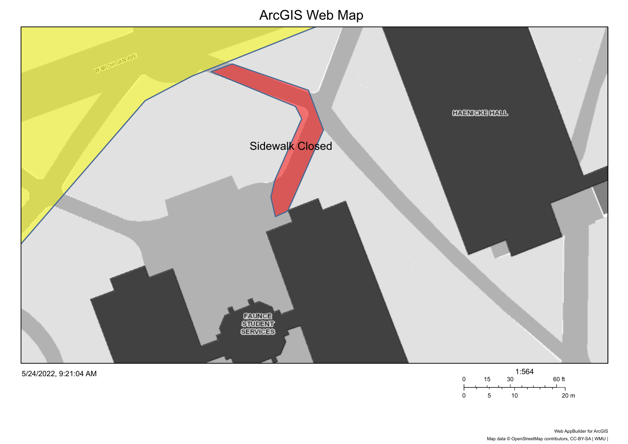## ArcGIS Web Map



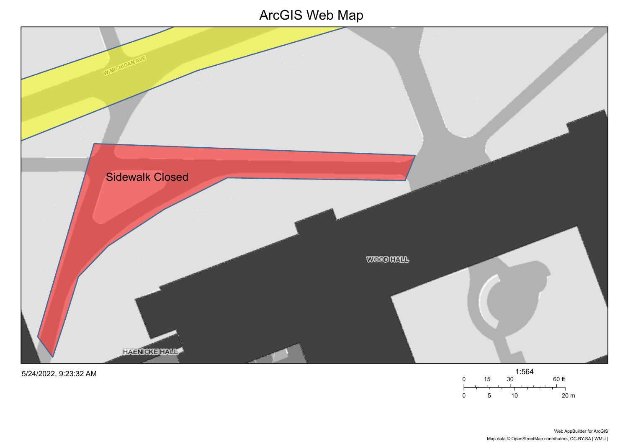## ArcGIS Web Map